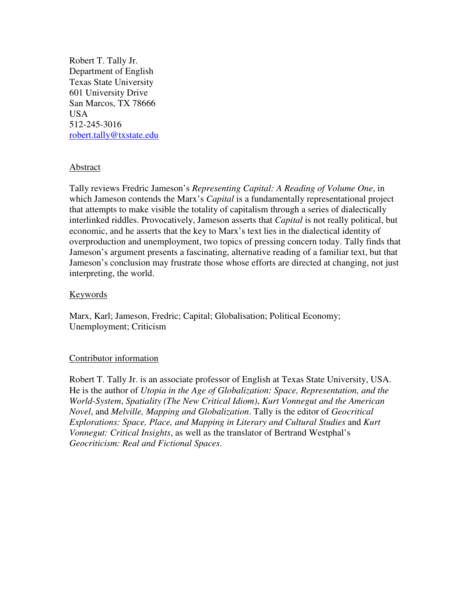Robert T. Tally Jr. Department of English Texas State University 601 University Drive San Marcos, TX 78666 USA 512-245-3016 robert.tally@txstate.edu

## Abstract

Tally reviews Fredric Jameson's *Representing Capital: A Reading of Volume One*, in which Jameson contends the Marx's *Capital* is a fundamentally representational project that attempts to make visible the totality of capitalism through a series of dialectically interlinked riddles. Provocatively, Jameson asserts that *Capital* is not really political, but economic, and he asserts that the key to Marx's text lies in the dialectical identity of overproduction and unemployment, two topics of pressing concern today. Tally finds that Jameson's argument presents a fascinating, alternative reading of a familiar text, but that Jameson's conclusion may frustrate those whose efforts are directed at changing, not just interpreting, the world.

# Keywords

Marx, Karl; Jameson, Fredric; Capital; Globalisation; Political Economy; Unemployment; Criticism

## Contributor information

Robert T. Tally Jr. is an associate professor of English at Texas State University, USA. He is the author of *Utopia in the Age of Globalization: Space, Representation, and the World-System*, *Spatiality (The New Critical Idiom)*, *Kurt Vonnegut and the American Novel*, and *Melville, Mapping and Globalization*. Tally is the editor of *Geocritical Explorations: Space, Place, and Mapping in Literary and Cultural Studies* and *Kurt Vonnegut: Critical Insights*, as well as the translator of Bertrand Westphal's *Geocriticism: Real and Fictional Spaces*.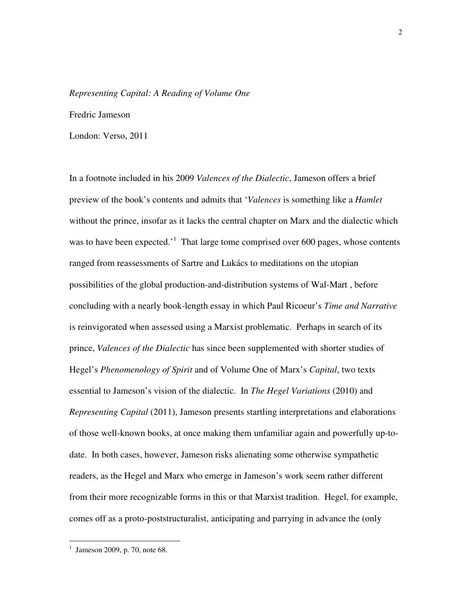#### *Representing Capital: A Reading of Volume One*

Fredric Jameson

London: Verso, 2011

In a footnote included in his 2009 *Valences of the Dialectic*, Jameson offers a brief preview of the book's contents and admits that '*Valences* is something like a *Hamlet* without the prince, insofar as it lacks the central chapter on Marx and the dialectic which was to have been expected.<sup>1</sup> That large tome comprised over 600 pages, whose contents ranged from reassessments of Sartre and Lukács to meditations on the utopian possibilities of the global production-and-distribution systems of Wal-Mart , before concluding with a nearly book-length essay in which Paul Ricoeur's *Time and Narrative* is reinvigorated when assessed using a Marxist problematic. Perhaps in search of its prince, *Valences of the Dialectic* has since been supplemented with shorter studies of Hegel's *Phenomenology of Spirit* and of Volume One of Marx's *Capital*, two texts essential to Jameson's vision of the dialectic. In *The Hegel Variations* (2010) and *Representing Capital* (2011), Jameson presents startling interpretations and elaborations of those well-known books, at once making them unfamiliar again and powerfully up-todate. In both cases, however, Jameson risks alienating some otherwise sympathetic readers, as the Hegel and Marx who emerge in Jameson's work seem rather different from their more recognizable forms in this or that Marxist tradition. Hegel, for example, comes off as a proto-poststructuralist, anticipating and parrying in advance the (only

<sup>1</sup> Jameson 2009, p. 70, note 68.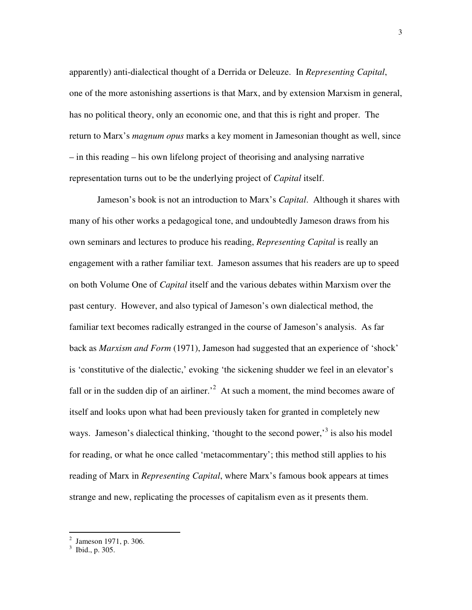apparently) anti-dialectical thought of a Derrida or Deleuze. In *Representing Capital*, one of the more astonishing assertions is that Marx, and by extension Marxism in general, has no political theory, only an economic one, and that this is right and proper. The return to Marx's *magnum opus* marks a key moment in Jamesonian thought as well, since – in this reading – his own lifelong project of theorising and analysing narrative representation turns out to be the underlying project of *Capital* itself.

 Jameson's book is not an introduction to Marx's *Capital*. Although it shares with many of his other works a pedagogical tone, and undoubtedly Jameson draws from his own seminars and lectures to produce his reading, *Representing Capital* is really an engagement with a rather familiar text. Jameson assumes that his readers are up to speed on both Volume One of *Capital* itself and the various debates within Marxism over the past century. However, and also typical of Jameson's own dialectical method, the familiar text becomes radically estranged in the course of Jameson's analysis. As far back as *Marxism and Form* (1971), Jameson had suggested that an experience of 'shock' is 'constitutive of the dialectic,' evoking 'the sickening shudder we feel in an elevator's fall or in the sudden dip of an airliner.<sup>2</sup> At such a moment, the mind becomes aware of itself and looks upon what had been previously taken for granted in completely new ways. Jameson's dialectical thinking, 'thought to the second power,'<sup>3</sup> is also his model for reading, or what he once called 'metacommentary'; this method still applies to his reading of Marx in *Representing Capital*, where Marx's famous book appears at times strange and new, replicating the processes of capitalism even as it presents them.

 2 Jameson 1971, p. 306.

 $3$  Ibid., p. 305.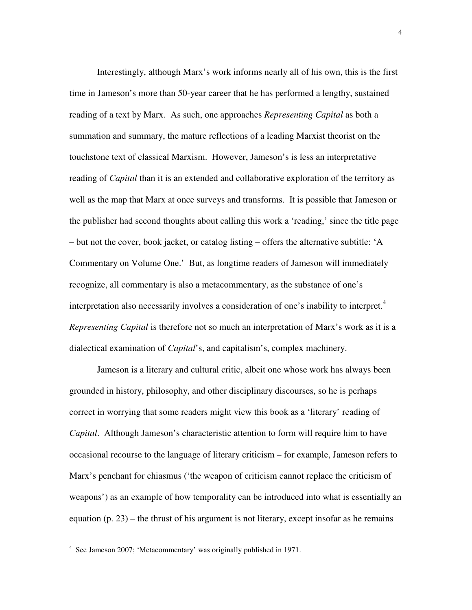Interestingly, although Marx's work informs nearly all of his own, this is the first time in Jameson's more than 50-year career that he has performed a lengthy, sustained reading of a text by Marx. As such, one approaches *Representing Capital* as both a summation and summary, the mature reflections of a leading Marxist theorist on the touchstone text of classical Marxism. However, Jameson's is less an interpretative reading of *Capital* than it is an extended and collaborative exploration of the territory as well as the map that Marx at once surveys and transforms. It is possible that Jameson or the publisher had second thoughts about calling this work a 'reading,' since the title page – but not the cover, book jacket, or catalog listing – offers the alternative subtitle: 'A Commentary on Volume One.' But, as longtime readers of Jameson will immediately recognize, all commentary is also a metacommentary, as the substance of one's interpretation also necessarily involves a consideration of one's inability to interpret.<sup>4</sup> *Representing Capital* is therefore not so much an interpretation of Marx's work as it is a dialectical examination of *Capital*'s, and capitalism's, complex machinery.

 Jameson is a literary and cultural critic, albeit one whose work has always been grounded in history, philosophy, and other disciplinary discourses, so he is perhaps correct in worrying that some readers might view this book as a 'literary' reading of *Capital*. Although Jameson's characteristic attention to form will require him to have occasional recourse to the language of literary criticism – for example, Jameson refers to Marx's penchant for chiasmus ('the weapon of criticism cannot replace the criticism of weapons') as an example of how temporality can be introduced into what is essentially an equation  $(p. 23)$  – the thrust of his argument is not literary, except insofar as he remains

<sup>4</sup> See Jameson 2007; 'Metacommentary' was originally published in 1971.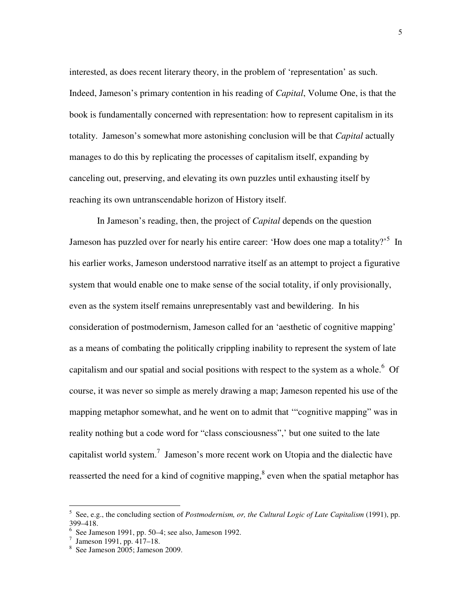interested, as does recent literary theory, in the problem of 'representation' as such. Indeed, Jameson's primary contention in his reading of *Capital*, Volume One, is that the book is fundamentally concerned with representation: how to represent capitalism in its totality. Jameson's somewhat more astonishing conclusion will be that *Capital* actually manages to do this by replicating the processes of capitalism itself, expanding by canceling out, preserving, and elevating its own puzzles until exhausting itself by reaching its own untranscendable horizon of History itself.

 In Jameson's reading, then, the project of *Capital* depends on the question Jameson has puzzled over for nearly his entire career: 'How does one map a totality?'<sup>5</sup> In his earlier works, Jameson understood narrative itself as an attempt to project a figurative system that would enable one to make sense of the social totality, if only provisionally, even as the system itself remains unrepresentably vast and bewildering. In his consideration of postmodernism, Jameson called for an 'aesthetic of cognitive mapping' as a means of combating the politically crippling inability to represent the system of late capitalism and our spatial and social positions with respect to the system as a whole.<sup>6</sup> Of course, it was never so simple as merely drawing a map; Jameson repented his use of the mapping metaphor somewhat, and he went on to admit that '"cognitive mapping" was in reality nothing but a code word for "class consciousness",' but one suited to the late capitalist world system.<sup>7</sup> Jameson's more recent work on Utopia and the dialectic have reasserted the need for a kind of cognitive mapping, <sup>8</sup> even when the spatial metaphor has

 5 See, e.g., the concluding section of *Postmodernism, or, the Cultural Logic of Late Capitalism* (1991), pp. 399–418.

 $6$  See Jameson 1991, pp. 50–4; see also, Jameson 1992.

<sup>7</sup> Jameson 1991, pp. 417–18.

<sup>8</sup> See Jameson 2005; Jameson 2009.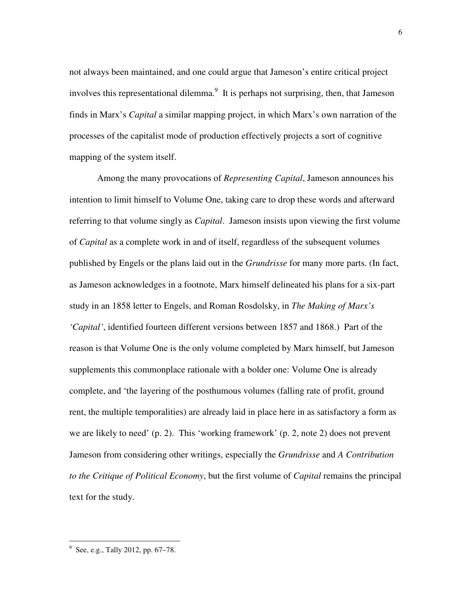not always been maintained, and one could argue that Jameson's entire critical project involves this representational dilemma.<sup>9</sup> It is perhaps not surprising, then, that Jameson finds in Marx's *Capital* a similar mapping project, in which Marx's own narration of the processes of the capitalist mode of production effectively projects a sort of cognitive mapping of the system itself.

 Among the many provocations of *Representing Capital*, Jameson announces his intention to limit himself to Volume One, taking care to drop these words and afterward referring to that volume singly as *Capital*. Jameson insists upon viewing the first volume of *Capital* as a complete work in and of itself, regardless of the subsequent volumes published by Engels or the plans laid out in the *Grundrisse* for many more parts. (In fact, as Jameson acknowledges in a footnote, Marx himself delineated his plans for a six-part study in an 1858 letter to Engels, and Roman Rosdolsky, in *The Making of Marx's 'Capital'*, identified fourteen different versions between 1857 and 1868.) Part of the reason is that Volume One is the only volume completed by Marx himself, but Jameson supplements this commonplace rationale with a bolder one: Volume One is already complete, and 'the layering of the posthumous volumes (falling rate of profit, ground rent, the multiple temporalities) are already laid in place here in as satisfactory a form as we are likely to need' (p. 2). This 'working framework' (p. 2, note 2) does not prevent Jameson from considering other writings, especially the *Grundrisse* and *A Contribution to the Critique of Political Economy*, but the first volume of *Capital* remains the principal text for the study.

<sup>&</sup>lt;sup>9</sup> See, e.g., Tally 2012, pp. 67–78.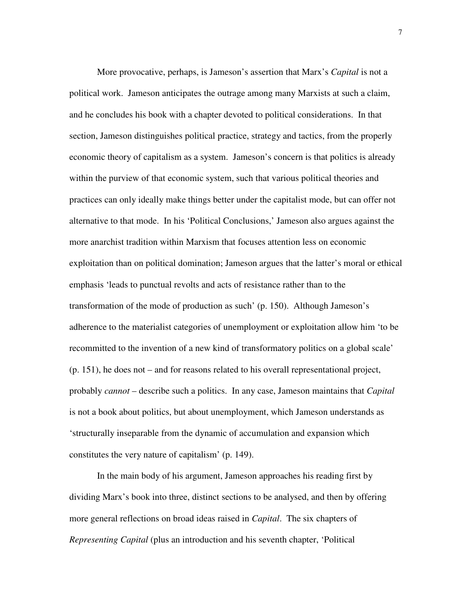More provocative, perhaps, is Jameson's assertion that Marx's *Capital* is not a political work. Jameson anticipates the outrage among many Marxists at such a claim, and he concludes his book with a chapter devoted to political considerations. In that section, Jameson distinguishes political practice, strategy and tactics, from the properly economic theory of capitalism as a system. Jameson's concern is that politics is already within the purview of that economic system, such that various political theories and practices can only ideally make things better under the capitalist mode, but can offer not alternative to that mode. In his 'Political Conclusions,' Jameson also argues against the more anarchist tradition within Marxism that focuses attention less on economic exploitation than on political domination; Jameson argues that the latter's moral or ethical emphasis 'leads to punctual revolts and acts of resistance rather than to the transformation of the mode of production as such' (p. 150). Although Jameson's adherence to the materialist categories of unemployment or exploitation allow him 'to be recommitted to the invention of a new kind of transformatory politics on a global scale' (p. 151), he does not – and for reasons related to his overall representational project, probably *cannot* – describe such a politics. In any case, Jameson maintains that *Capital* is not a book about politics, but about unemployment, which Jameson understands as 'structurally inseparable from the dynamic of accumulation and expansion which constitutes the very nature of capitalism' (p. 149).

 In the main body of his argument, Jameson approaches his reading first by dividing Marx's book into three, distinct sections to be analysed, and then by offering more general reflections on broad ideas raised in *Capital*. The six chapters of *Representing Capital* (plus an introduction and his seventh chapter, 'Political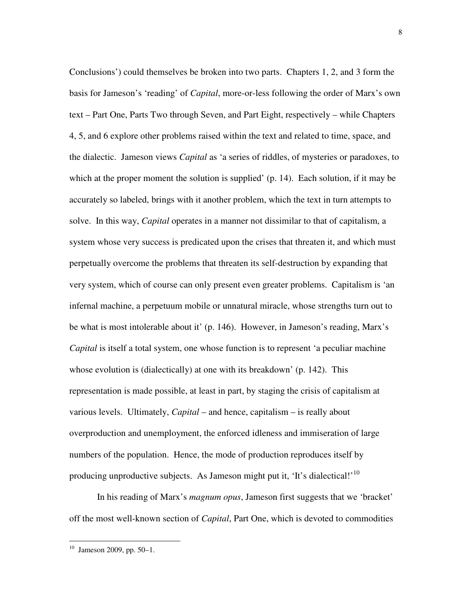Conclusions') could themselves be broken into two parts. Chapters 1, 2, and 3 form the basis for Jameson's 'reading' of *Capital*, more-or-less following the order of Marx's own text – Part One, Parts Two through Seven, and Part Eight, respectively – while Chapters 4, 5, and 6 explore other problems raised within the text and related to time, space, and the dialectic. Jameson views *Capital* as 'a series of riddles, of mysteries or paradoxes, to which at the proper moment the solution is supplied' (p. 14). Each solution, if it may be accurately so labeled, brings with it another problem, which the text in turn attempts to solve. In this way, *Capital* operates in a manner not dissimilar to that of capitalism, a system whose very success is predicated upon the crises that threaten it, and which must perpetually overcome the problems that threaten its self-destruction by expanding that very system, which of course can only present even greater problems. Capitalism is 'an infernal machine, a perpetuum mobile or unnatural miracle, whose strengths turn out to be what is most intolerable about it' (p. 146). However, in Jameson's reading, Marx's *Capital* is itself a total system, one whose function is to represent 'a peculiar machine whose evolution is (dialectically) at one with its breakdown' (p. 142). This representation is made possible, at least in part, by staging the crisis of capitalism at various levels. Ultimately, *Capital* – and hence, capitalism – is really about overproduction and unemployment, the enforced idleness and immiseration of large numbers of the population. Hence, the mode of production reproduces itself by producing unproductive subjects. As Jameson might put it, 'It's dialectical!'<sup>10</sup>

 In his reading of Marx's *magnum opus*, Jameson first suggests that we 'bracket' off the most well-known section of *Capital*, Part One, which is devoted to commodities

 $10$  Jameson 2009, pp. 50–1.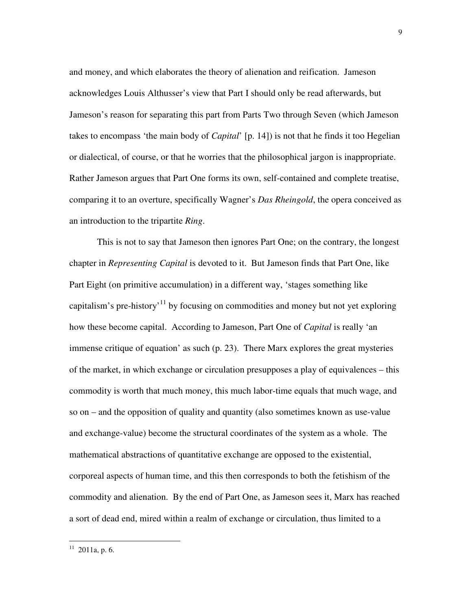and money, and which elaborates the theory of alienation and reification. Jameson acknowledges Louis Althusser's view that Part I should only be read afterwards, but Jameson's reason for separating this part from Parts Two through Seven (which Jameson takes to encompass 'the main body of *Capital*' [p. 14]) is not that he finds it too Hegelian or dialectical, of course, or that he worries that the philosophical jargon is inappropriate. Rather Jameson argues that Part One forms its own, self-contained and complete treatise, comparing it to an overture, specifically Wagner's *Das Rheingold*, the opera conceived as an introduction to the tripartite *Ring*.

 This is not to say that Jameson then ignores Part One; on the contrary, the longest chapter in *Representing Capital* is devoted to it. But Jameson finds that Part One, like Part Eight (on primitive accumulation) in a different way, 'stages something like capitalism's pre-history'<sup>11</sup> by focusing on commodities and money but not yet exploring how these become capital. According to Jameson, Part One of *Capital* is really 'an immense critique of equation' as such (p. 23). There Marx explores the great mysteries of the market, in which exchange or circulation presupposes a play of equivalences – this commodity is worth that much money, this much labor-time equals that much wage, and so on – and the opposition of quality and quantity (also sometimes known as use-value and exchange-value) become the structural coordinates of the system as a whole. The mathematical abstractions of quantitative exchange are opposed to the existential, corporeal aspects of human time, and this then corresponds to both the fetishism of the commodity and alienation. By the end of Part One, as Jameson sees it, Marx has reached a sort of dead end, mired within a realm of exchange or circulation, thus limited to a

 $11$  2011a, p. 6.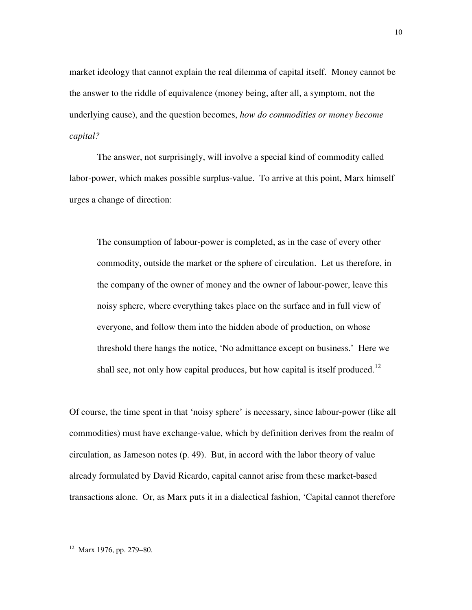market ideology that cannot explain the real dilemma of capital itself. Money cannot be the answer to the riddle of equivalence (money being, after all, a symptom, not the underlying cause), and the question becomes, *how do commodities or money become capital?*

 The answer, not surprisingly, will involve a special kind of commodity called labor-power, which makes possible surplus-value. To arrive at this point, Marx himself urges a change of direction:

The consumption of labour-power is completed, as in the case of every other commodity, outside the market or the sphere of circulation. Let us therefore, in the company of the owner of money and the owner of labour-power, leave this noisy sphere, where everything takes place on the surface and in full view of everyone, and follow them into the hidden abode of production, on whose threshold there hangs the notice, 'No admittance except on business.' Here we shall see, not only how capital produces, but how capital is itself produced.<sup>12</sup>

Of course, the time spent in that 'noisy sphere' is necessary, since labour-power (like all commodities) must have exchange-value, which by definition derives from the realm of circulation, as Jameson notes (p. 49). But, in accord with the labor theory of value already formulated by David Ricardo, capital cannot arise from these market-based transactions alone. Or, as Marx puts it in a dialectical fashion, 'Capital cannot therefore

<sup>&</sup>lt;sup>12</sup> Marx 1976, pp. 279–80.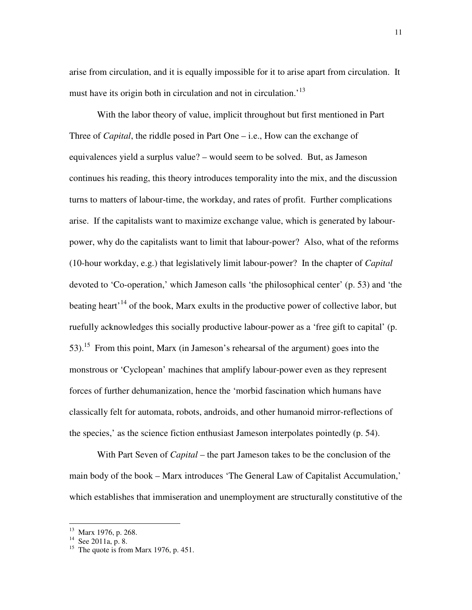arise from circulation, and it is equally impossible for it to arise apart from circulation. It must have its origin both in circulation and not in circulation.<sup>'13</sup>

 With the labor theory of value, implicit throughout but first mentioned in Part Three of *Capital*, the riddle posed in Part One – i.e., How can the exchange of equivalences yield a surplus value? – would seem to be solved. But, as Jameson continues his reading, this theory introduces temporality into the mix, and the discussion turns to matters of labour-time, the workday, and rates of profit. Further complications arise. If the capitalists want to maximize exchange value, which is generated by labourpower, why do the capitalists want to limit that labour-power? Also, what of the reforms (10-hour workday, e.g.) that legislatively limit labour-power? In the chapter of *Capital* devoted to 'Co-operation,' which Jameson calls 'the philosophical center' (p. 53) and 'the beating heart<sup> $14$ </sup> of the book, Marx exults in the productive power of collective labor, but ruefully acknowledges this socially productive labour-power as a 'free gift to capital' (p. 53).<sup>15</sup> From this point, Marx (in Jameson's rehearsal of the argument) goes into the monstrous or 'Cyclopean' machines that amplify labour-power even as they represent forces of further dehumanization, hence the 'morbid fascination which humans have classically felt for automata, robots, androids, and other humanoid mirror-reflections of the species,' as the science fiction enthusiast Jameson interpolates pointedly (p. 54).

 With Part Seven of *Capital* – the part Jameson takes to be the conclusion of the main body of the book – Marx introduces 'The General Law of Capitalist Accumulation,' which establishes that immiseration and unemployment are structurally constitutive of the

 $\overline{a}$ 

<sup>13</sup> Marx 1976, p. 268.

 $14$  See 2011a, p. 8.

<sup>&</sup>lt;sup>15</sup> The quote is from Marx 1976, p. 451.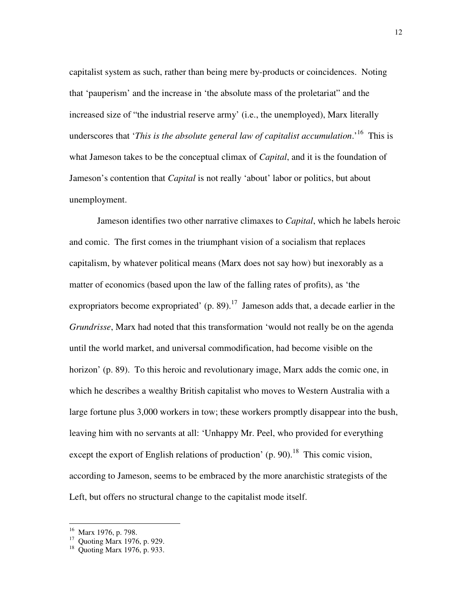capitalist system as such, rather than being mere by-products or coincidences. Noting that 'pauperism' and the increase in 'the absolute mass of the proletariat" and the increased size of "the industrial reserve army' (i.e., the unemployed), Marx literally underscores that '*This is the absolute general law of capitalist accumulation*.'<sup>16</sup> This is what Jameson takes to be the conceptual climax of *Capital*, and it is the foundation of Jameson's contention that *Capital* is not really 'about' labor or politics, but about unemployment.

 Jameson identifies two other narrative climaxes to *Capital*, which he labels heroic and comic. The first comes in the triumphant vision of a socialism that replaces capitalism, by whatever political means (Marx does not say how) but inexorably as a matter of economics (based upon the law of the falling rates of profits), as 'the expropriators become expropriated'  $(p. 89)$ .<sup>17</sup> Jameson adds that, a decade earlier in the *Grundrisse*, Marx had noted that this transformation 'would not really be on the agenda until the world market, and universal commodification, had become visible on the horizon' (p. 89). To this heroic and revolutionary image, Marx adds the comic one, in which he describes a wealthy British capitalist who moves to Western Australia with a large fortune plus 3,000 workers in tow; these workers promptly disappear into the bush, leaving him with no servants at all: 'Unhappy Mr. Peel, who provided for everything except the export of English relations of production'  $(p. 90)$ .<sup>18</sup> This comic vision, according to Jameson, seems to be embraced by the more anarchistic strategists of the Left, but offers no structural change to the capitalist mode itself.

 $\overline{a}$ 

<sup>16</sup> Marx 1976, p. 798.

 $17$  Quoting Marx 1976, p. 929.

<sup>18</sup> Quoting Marx 1976, p. 933.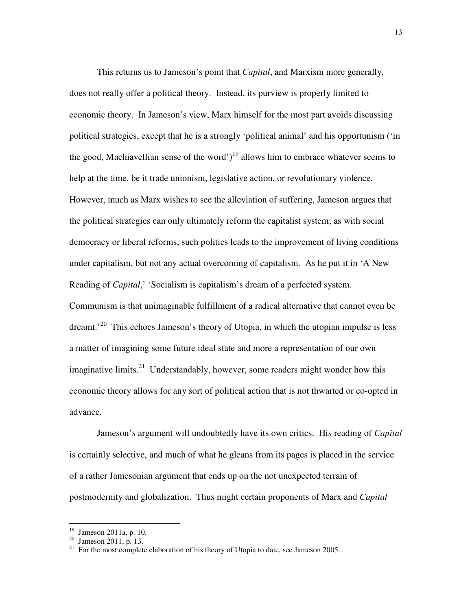This returns us to Jameson's point that *Capital*, and Marxism more generally, does not really offer a political theory. Instead, its purview is properly limited to economic theory. In Jameson's view, Marx himself for the most part avoids discussing political strategies, except that he is a strongly 'political animal' and his opportunism ('in the good, Machiavellian sense of the word')<sup>19</sup> allows him to embrace whatever seems to help at the time, be it trade unionism, legislative action, or revolutionary violence. However, much as Marx wishes to see the alleviation of suffering, Jameson argues that the political strategies can only ultimately reform the capitalist system; as with social democracy or liberal reforms, such politics leads to the improvement of living conditions under capitalism, but not any actual overcoming of capitalism. As he put it in 'A New Reading of *Capital*,' 'Socialism is capitalism's dream of a perfected system. Communism is that unimaginable fulfillment of a radical alternative that cannot even be  $d$ reamt.<sup>20</sup> This echoes Jameson's theory of Utopia, in which the utopian impulse is less a matter of imagining some future ideal state and more a representation of our own imaginative limits.<sup>21</sup> Understandably, however, some readers might wonder how this economic theory allows for any sort of political action that is not thwarted or co-opted in advance.

 Jameson's argument will undoubtedly have its own critics. His reading of *Capital* is certainly selective, and much of what he gleans from its pages is placed in the service of a rather Jamesonian argument that ends up on the not unexpected terrain of postmodernity and globalization. Thus might certain proponents of Marx and *Capital*

 $\overline{a}$ 

<sup>19</sup> Jameson 2011a, p. 10.

 $20 \text{ Jameson } 2011, \text{ p. } 13.$ 

 $21$  For the most complete elaboration of his theory of Utopia to date, see Jameson 2005.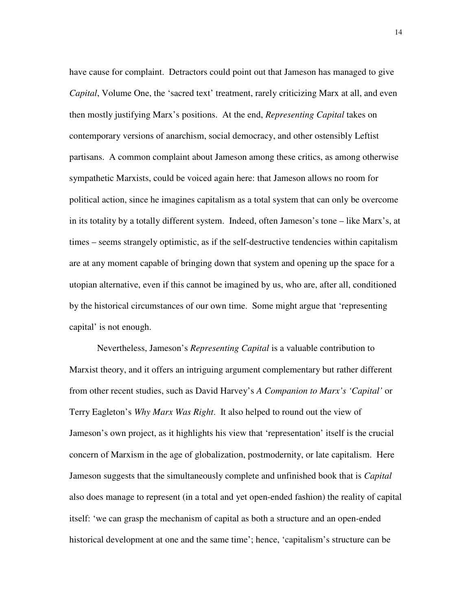have cause for complaint. Detractors could point out that Jameson has managed to give *Capital*, Volume One, the 'sacred text' treatment, rarely criticizing Marx at all, and even then mostly justifying Marx's positions. At the end, *Representing Capital* takes on contemporary versions of anarchism, social democracy, and other ostensibly Leftist partisans. A common complaint about Jameson among these critics, as among otherwise sympathetic Marxists, could be voiced again here: that Jameson allows no room for political action, since he imagines capitalism as a total system that can only be overcome in its totality by a totally different system. Indeed, often Jameson's tone – like Marx's, at times – seems strangely optimistic, as if the self-destructive tendencies within capitalism are at any moment capable of bringing down that system and opening up the space for a utopian alternative, even if this cannot be imagined by us, who are, after all, conditioned by the historical circumstances of our own time. Some might argue that 'representing capital' is not enough.

 Nevertheless, Jameson's *Representing Capital* is a valuable contribution to Marxist theory, and it offers an intriguing argument complementary but rather different from other recent studies, such as David Harvey's *A Companion to Marx's 'Capital'* or Terry Eagleton's *Why Marx Was Right*. It also helped to round out the view of Jameson's own project, as it highlights his view that 'representation' itself is the crucial concern of Marxism in the age of globalization, postmodernity, or late capitalism. Here Jameson suggests that the simultaneously complete and unfinished book that is *Capital* also does manage to represent (in a total and yet open-ended fashion) the reality of capital itself: 'we can grasp the mechanism of capital as both a structure and an open-ended historical development at one and the same time'; hence, 'capitalism's structure can be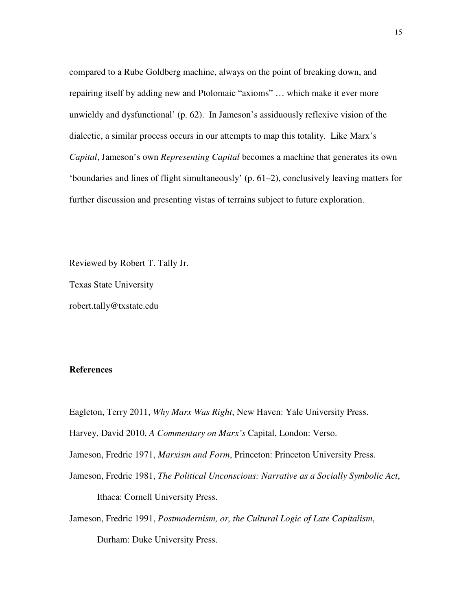compared to a Rube Goldberg machine, always on the point of breaking down, and repairing itself by adding new and Ptolomaic "axioms" … which make it ever more unwieldy and dysfunctional' (p. 62). In Jameson's assiduously reflexive vision of the dialectic, a similar process occurs in our attempts to map this totality. Like Marx's *Capital*, Jameson's own *Representing Capital* becomes a machine that generates its own 'boundaries and lines of flight simultaneously' (p. 61–2), conclusively leaving matters for further discussion and presenting vistas of terrains subject to future exploration.

Reviewed by Robert T. Tally Jr.

Texas State University

robert.tally@txstate.edu

## **References**

Eagleton, Terry 2011, *Why Marx Was Right*, New Haven: Yale University Press.

Harvey, David 2010, *A Commentary on Marx's* Capital, London: Verso.

Jameson, Fredric 1971, *Marxism and Form*, Princeton: Princeton University Press.

Jameson, Fredric 1981, *The Political Unconscious: Narrative as a Socially Symbolic Act*, Ithaca: Cornell University Press.

Jameson, Fredric 1991, *Postmodernism, or, the Cultural Logic of Late Capitalism*, Durham: Duke University Press.